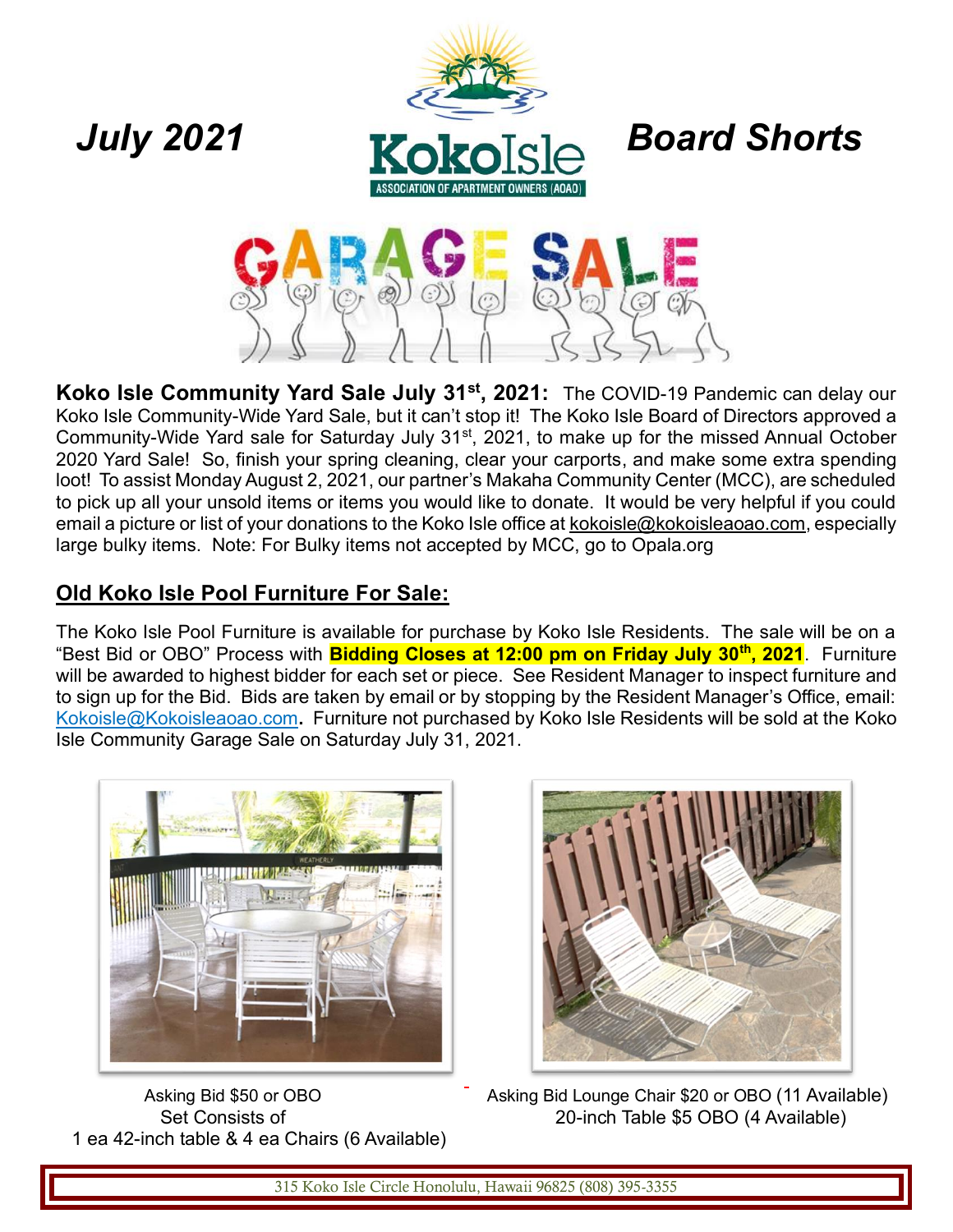



**Koko Isle Community Yard Sale July 31st, 2021:** The COVID-19 Pandemic can delay our Koko Isle Community-Wide Yard Sale, but it can't stop it! The Koko Isle Board of Directors approved a Community-Wide Yard sale for Saturday July 31<sup>st</sup>, 2021, to make up for the missed Annual October 2020 Yard Sale! So, finish your spring cleaning, clear your carports, and make some extra spending loot! To assist Monday August 2, 2021, our partner's Makaha Community Center (MCC), are scheduled to pick up all your unsold items or items you would like to donate. It would be very helpful if you could email a picture or list of your donations to the Koko Isle office at [kokoisle@kokoisleaoao.com,](mailto:kokoisle@kokoisleaoao.com) especially large bulky items. Note: For Bulky items not accepted by MCC, go to Opala.org

### **Old Koko Isle Pool Furniture For Sale:**

The Koko Isle Pool Furniture is available for purchase by Koko Isle Residents. The sale will be on a "Best Bid or OBO" Process with **Bidding Closes at 12:00 pm on Friday July 30th, 2021**. Furniture will be awarded to highest bidder for each set or piece. See Resident Manager to inspect furniture and to sign up for the Bid. Bids are taken by email or by stopping by the Resident Manager's Office, email: [Kokoisle@Kokoisleaoao.com](mailto:Kokoisle@Kokoisleaoao.com)**.** Furniture not purchased by Koko Isle Residents will be sold at the Koko Isle Community Garage Sale on Saturday July 31, 2021.



1 ea 42-inch table & 4 ea Chairs (6 Available)

Asking Bid \$50 or OBO **Asking Bid Lounge Chair \$20 or OBO (11 Available)** Set Consists of 20-inch Table \$5 OBO (4 Available)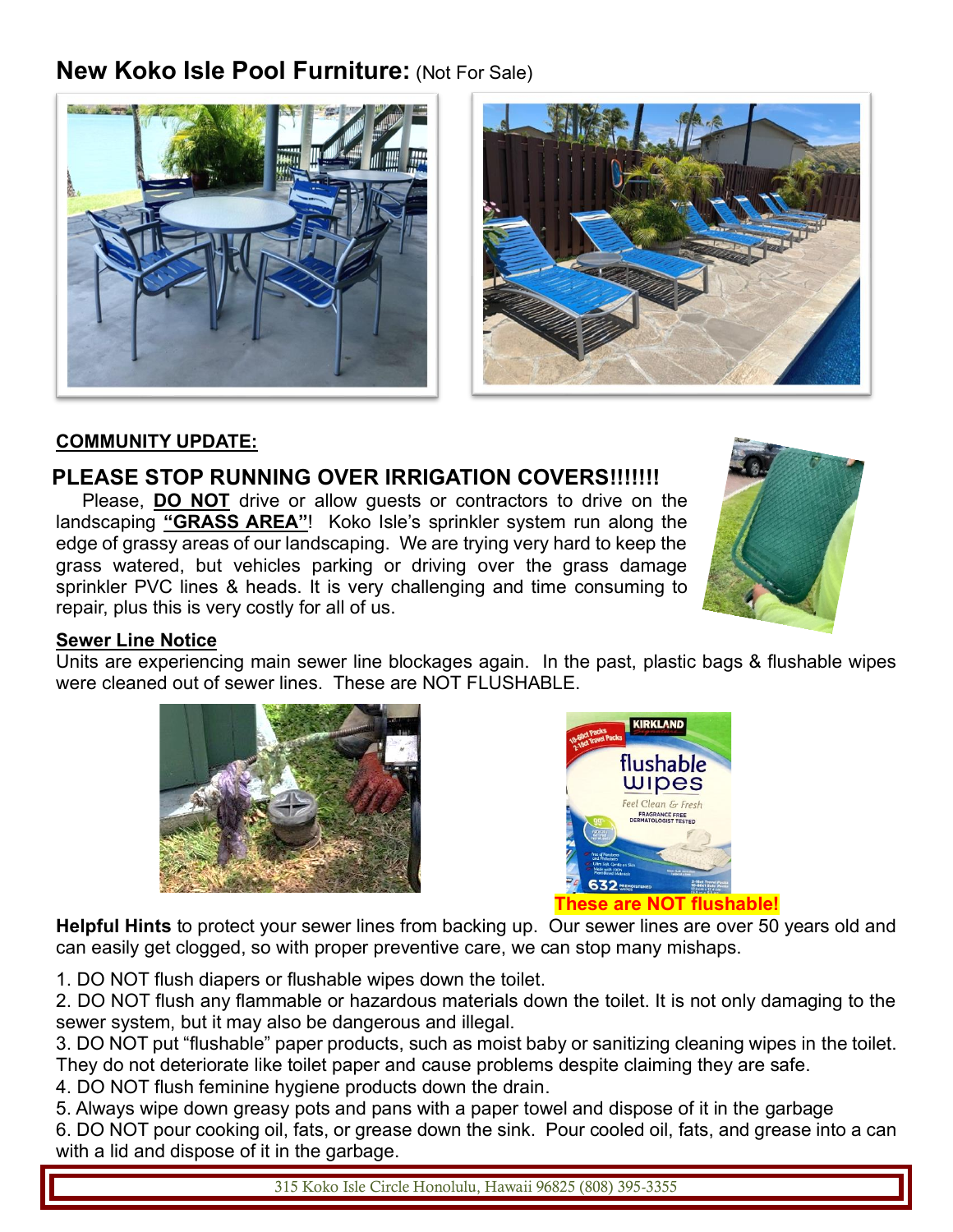## **New Koko Isle Pool Furniture:** (Not For Sale)





#### **COMMUNITY UPDATE:**

#### **PLEASE STOP RUNNING OVER IRRIGATION COVERS!!!!!!!**

Please, **DO NOT** drive or allow guests or contractors to drive on the landscaping **"GRASS AREA"**! Koko Isle's sprinkler system run along the edge of grassy areas of our landscaping. We are trying very hard to keep the grass watered, but vehicles parking or driving over the grass damage sprinkler PVC lines & heads. It is very challenging and time consuming to repair, plus this is very costly for all of us.



#### **Sewer Line Notice**

Units are experiencing main sewer line blockages again. In the past, plastic bags & flushable wipes were cleaned out of sewer lines. These are NOT FLUSHABLE.





**Helpful Hints** to protect your sewer lines from backing up. Our sewer lines are over 50 years old and can easily get clogged, so with proper preventive care, we can stop many mishaps.

1. DO NOT flush diapers or flushable wipes down the toilet.

2. DO NOT flush any flammable or hazardous materials down the toilet. It is not only damaging to the sewer system, but it may also be dangerous and illegal.

3. DO NOT put "flushable" paper products, such as moist baby or sanitizing cleaning wipes in the toilet. They do not deteriorate like toilet paper and cause problems despite claiming they are safe.

4. DO NOT flush feminine hygiene products down the drain.

5. Always wipe down greasy pots and pans with a paper towel and dispose of it in the garbage 6. DO NOT pour cooking oil, fats, or grease down the sink. Pour cooled oil, fats, and grease into a can with a lid and dispose of it in the garbage.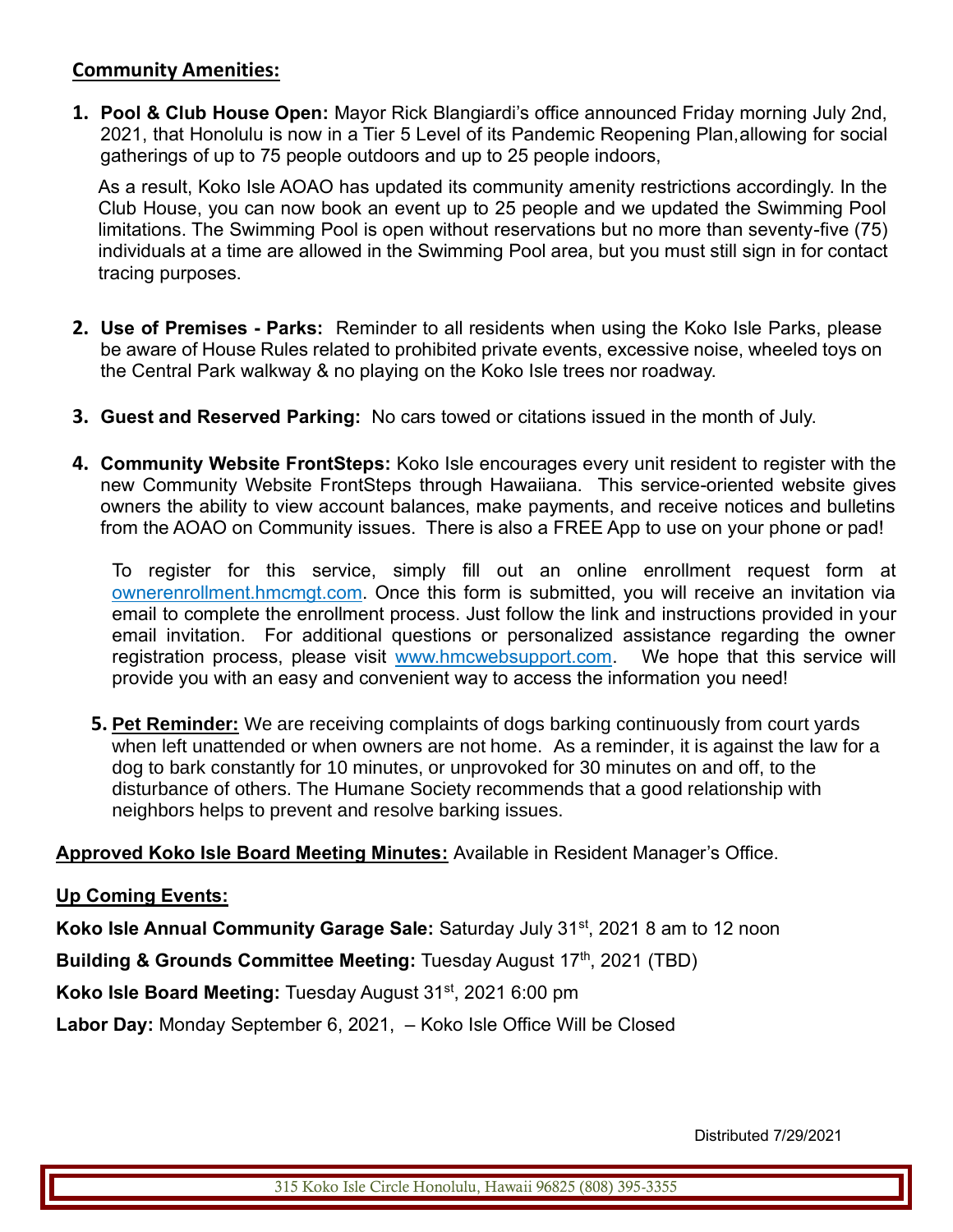#### **Community Amenities:**

**1. Pool & Club House Open:** Mayor Rick Blangiardi's office announced Friday morning July 2nd, 2021, that Honolulu is now in a Tier 5 Level of its Pandemic Reopening Plan,allowing for social gatherings of up to 75 people outdoors and up to 25 people indoors,

As a result, Koko Isle AOAO has updated its community amenity restrictions accordingly. In the Club House, you can now book an event up to 25 people and we updated the Swimming Pool limitations. The Swimming Pool is open without reservations but no more than seventy-five (75) individuals at a time are allowed in the Swimming Pool area, but you must still sign in for contact tracing purposes.

- **2. Use of Premises - Parks:** Reminder to all residents when using the Koko Isle Parks, please be aware of House Rules related to prohibited private events, excessive noise, wheeled toys on the Central Park walkway & no playing on the Koko Isle trees nor roadway.
- **3. Guest and Reserved Parking:** No cars towed or citations issued in the month of July.
- **4. Community Website FrontSteps:** Koko Isle encourages every unit resident to register with the new Community Website FrontSteps through Hawaiiana. This service-oriented website gives owners the ability to view account balances, make payments, and receive notices and bulletins from the AOAO on Community issues. There is also a FREE App to use on your phone or pad!

To register for this service, simply fill out an online enrollment request form at ownerenrollment.hmcmgt.com. Once this form is submitted, you will receive an invitation via email to complete the enrollment process. Just follow the link and instructions provided in your email invitation. For additional questions or personalized assistance regarding the owner registration process, please visit www.hmcwebsupport.com. We hope that this service will provide you with an easy and convenient way to access the information you need!

**5. Pet Reminder:** We are receiving complaints of dogs barking continuously from court yards when left unattended or when owners are not home. As a reminder, it is against the law for a dog to bark constantly for 10 minutes, or unprovoked for 30 minutes on and off, to the disturbance of others. The Humane Society recommends that a good relationship with neighbors helps to prevent and resolve barking issues.

**Approved Koko Isle Board Meeting Minutes:** Available in Resident Manager's Office.

#### **Up Coming Events:**

**Koko Isle Annual Community Garage Sale:** Saturday July 31<sup>st</sup>, 2021 8 am to 12 noon

**Building & Grounds Committee Meeting: Tuesday August 17th, 2021 (TBD)** 

**Koko Isle Board Meeting:** Tuesday August 31st, 2021 6:00 pm

**Labor Day:** Monday September 6, 2021, – Koko Isle Office Will be Closed

Distributed 7/29/2021